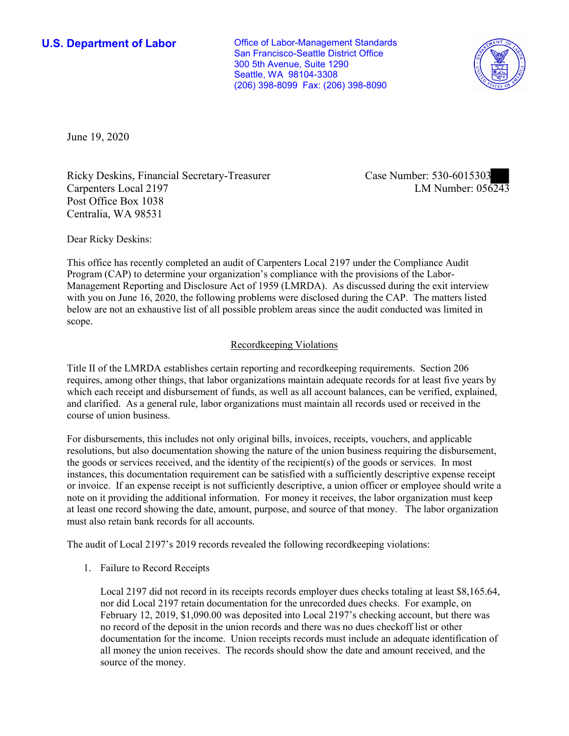**U.S. Department of Labor Conservative Conservative Conservative Conservative Conservative Conservative Conservative Conservative Conservative Conservative Conservative Conservative Conservative Conservative Conservative** San Francisco-Seattle District Office 300 5th Avenue, Suite 1290 Seattle, WA 98104-3308 (206) 398-8099 Fax: (206) 398-8090



June 19, 2020

Ricky Deskins, Financial Secretary-Treasurer Carpenters Local 2197 Post Office Box 1038 Centralia, WA 98531

Case Number: 530-6015303<br>LM Number: 056243

Dear Ricky Deskins:

 Management Reporting and Disclosure Act of 1959 (LMRDA). As discussed during the exit interview with you on June 16, 2020, the following problems were disclosed during the CAP. The matters listed This office has recently completed an audit of Carpenters Local 2197 under the Compliance Audit Program (CAP) to determine your organization's compliance with the provisions of the Laborbelow are not an exhaustive list of all possible problem areas since the audit conducted was limited in scope.

## Recordkeeping Violations

 requires, among other things, that labor organizations maintain adequate records for at least five years by which each receipt and disbursement of funds, as well as all account balances, can be verified, explained, and clarified. As a general rule, labor organizations must maintain all records used or received in the Title II of the LMRDA establishes certain reporting and recordkeeping requirements. Section 206 course of union business.

 the goods or services received, and the identity of the recipient(s) of the goods or services. In most For disbursements, this includes not only original bills, invoices, receipts, vouchers, and applicable resolutions, but also documentation showing the nature of the union business requiring the disbursement, instances, this documentation requirement can be satisfied with a sufficiently descriptive expense receipt or invoice. If an expense receipt is not sufficiently descriptive, a union officer or employee should write a note on it providing the additional information. For money it receives, the labor organization must keep at least one record showing the date, amount, purpose, and source of that money. The labor organization must also retain bank records for all accounts.

The audit of Local 2197's 2019 records revealed the following recordkeeping violations:

1. Failure to Record Receipts

 nor did Local 2197 retain documentation for the unrecorded dues checks. For example, on no record of the deposit in the union records and there was no dues checkoff list or other all money the union receives. The records should show the date and amount received, and the Local 2197 did not record in its receipts records employer dues checks totaling at least \$[8,165.64](https://8,165.64), February 12, 2019, [\\$1,090.00](https://1,090.00) was deposited into Local 2197's checking account, but there was documentation for the income. Union receipts records must include an adequate identification of source of the money.